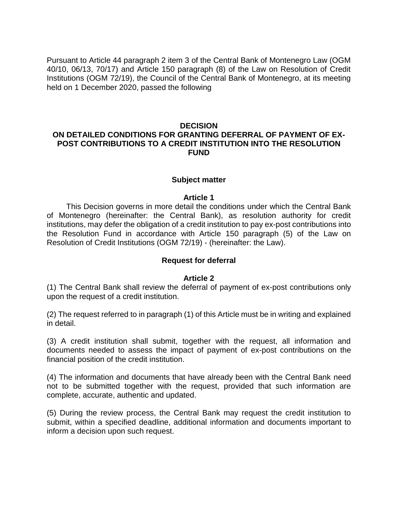Pursuant to Article 44 paragraph 2 item 3 of the Central Bank of Montenegro Law (OGM 40/10, 06/13, 70/17) and Article 150 paragraph (8) of the Law on Resolution of Credit Institutions (OGM 72/19), the Council of the Central Bank of Montenegro, at its meeting held on 1 December 2020, passed the following

## **DECISION**

## **ON DETAILED CONDITIONS FOR GRANTING DEFERRAL OF PAYMENT OF EX-POST CONTRIBUTIONS TO A CREDIT INSTITUTION INTO THE RESOLUTION FUND**

### **Subject matter**

### **Article 1**

 This Decision governs in more detail the conditions under which the Central Bank of Montenegro (hereinafter: the Central Bank), as resolution authority for credit institutions, may defer the obligation of a credit institution to pay ex-post contributions into the Resolution Fund in accordance with Article 150 paragraph (5) of the Law on Resolution of Credit Institutions (OGM 72/19) - (hereinafter: the Law).

### **Request for deferral**

### **Article 2**

(1) The Central Bank shall review the deferral of payment of ex-post contributions only upon the request of a credit institution.

(2) The request referred to in paragraph (1) of this Article must be in writing and explained in detail.

(3) A credit institution shall submit, together with the request, all information and documents needed to assess the impact of payment of ex-post contributions on the financial position of the credit institution.

(4) The information and documents that have already been with the Central Bank need not to be submitted together with the request, provided that such information are complete, accurate, authentic and updated.

(5) During the review process, the Central Bank may request the credit institution to submit, within a specified deadline, additional information and documents important to inform a decision upon such request.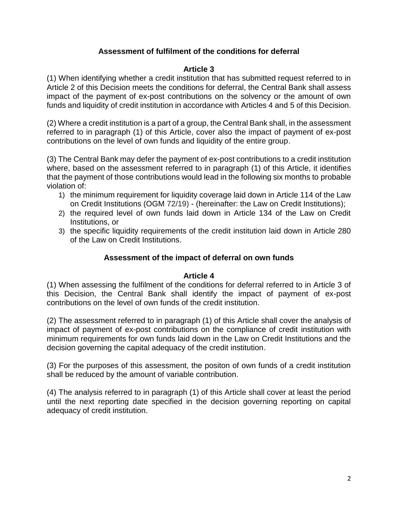# **Assessment of fulfilment of the conditions for deferral**

### **Article 3**

(1) When identifying whether a credit institution that has submitted request referred to in Article 2 of this Decision meets the conditions for deferral, the Central Bank shall assess impact of the payment of ex-post contributions on the solvency or the amount of own funds and liquidity of credit institution in accordance with Articles 4 and 5 of this Decision.

(2) Where a credit institution is a part of a group, the Central Bank shall, in the assessment referred to in paragraph (1) of this Article, cover also the impact of payment of ex-post contributions on the level of own funds and liquidity of the entire group.

(3) The Central Bank may defer the payment of ex-post contributions to a credit institution where, based on the assessment referred to in paragraph (1) of this Article, it identifies that the payment of those contributions would lead in the following six months to probable violation of:

- 1) the minimum requirement for liquidity coverage laid down in Article 114 of the Law on Credit Institutions (OGM 72/19) - (hereinafter: the Law on Credit Institutions);
- 2) the required level of own funds laid down in Article 134 of the Law on Credit Institutions, or
- 3) the specific liquidity requirements of the credit institution laid down in Article 280 of the Law on Credit Institutions.

# **Assessment of the impact of deferral on own funds**

### **Article 4**

(1) When assessing the fulfilment of the conditions for deferral referred to in Article 3 of this Decision, the Central Bank shall identify the impact of payment of ex-post contributions on the level of own funds of the credit institution.

(2) The assessment referred to in paragraph (1) of this Article shall cover the analysis of impact of payment of ex-post contributions on the compliance of credit institution with minimum requirements for own funds laid down in the Law on Credit Institutions and the decision governing the capital adequacy of the credit institution.

(3) For the purposes of this assessment, the positon of own funds of a credit institution shall be reduced by the amount of variable contribution.

(4) The analysis referred to in paragraph (1) of this Article shall cover at least the period until the next reporting date specified in the decision governing reporting on capital adequacy of credit institution.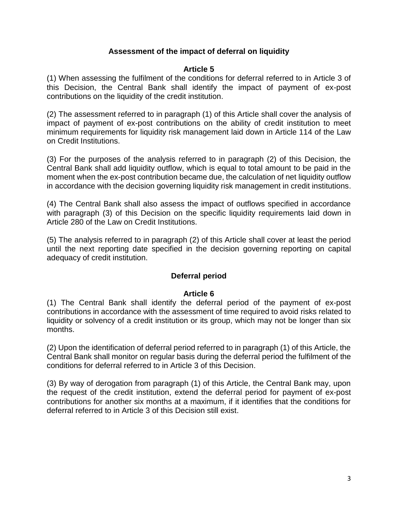# **Assessment of the impact of deferral on liquidity**

### **Article 5**

(1) When assessing the fulfilment of the conditions for deferral referred to in Article 3 of this Decision, the Central Bank shall identify the impact of payment of ex-post contributions on the liquidity of the credit institution.

(2) The assessment referred to in paragraph (1) of this Article shall cover the analysis of impact of payment of ex-post contributions on the ability of credit institution to meet minimum requirements for liquidity risk management laid down in Article 114 of the Law on Credit Institutions.

(3) For the purposes of the analysis referred to in paragraph (2) of this Decision, the Central Bank shall add liquidity outflow, which is equal to total amount to be paid in the moment when the ex-post contribution became due, the calculation of net liquidity outflow in accordance with the decision governing liquidity risk management in credit institutions.

(4) The Central Bank shall also assess the impact of outflows specified in accordance with paragraph (3) of this Decision on the specific liquidity requirements laid down in Article 280 of the Law on Credit Institutions.

(5) The analysis referred to in paragraph (2) of this Article shall cover at least the period until the next reporting date specified in the decision governing reporting on capital adequacy of credit institution.

## **Deferral period**

### **Article 6**

(1) The Central Bank shall identify the deferral period of the payment of ex-post contributions in accordance with the assessment of time required to avoid risks related to liquidity or solvency of a credit institution or its group, which may not be longer than six months.

(2) Upon the identification of deferral period referred to in paragraph (1) of this Article, the Central Bank shall monitor on regular basis during the deferral period the fulfilment of the conditions for deferral referred to in Article 3 of this Decision.

(3) By way of derogation from paragraph (1) of this Article, the Central Bank may, upon the request of the credit institution, extend the deferral period for payment of ex-post contributions for another six months at a maximum, if it identifies that the conditions for deferral referred to in Article 3 of this Decision still exist.